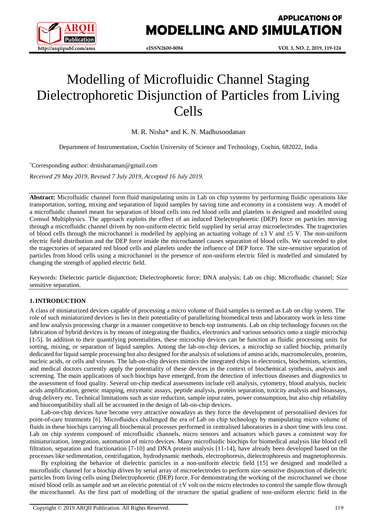

**APPLICATIONS OF MODELLING AND SIMULATION**

# Modelling of Microfluidic Channel Staging Dielectrophoretic Disjunction of Particles from Living Cells

M. R. Nisha\* and K. N. Madhusoodanan

Department of Instrumentation, Cochin University of Science and Technology, Cochin, 682022, India

\*Corresponding author: drnisharaman@gmail.com

*Received 29 May 2019, Revised 7 July 2019, Accepted 16 July 2019.*

**Abstract:** Microfluidic channel form fluid manipulating units in Lab on chip systems by performing fluidic operations like transportation, sorting, mixing and separation of liquid samples by saving time and economy in a consistent way. A model of a microfluidic channel meant for separation of blood cells into red blood cells and platelets is designed and modelled using Comsol Multiphysics. The approach exploits the effect of an induced Dielectrophoretic (DEP) force on particles moving through a microfluidic channel driven by non-uniform electric field supplied by serial array microelectrodes. The tragectories of blood cells through the microchannel is modelled by applying an actuating voltage of  $\pm 3$  V and  $\pm 5$  V. The non-uniform electric field distribution and the DEP force inside the microchannel causes separation of blood cells. We succeeded to plot the tragectories of separated red blood cells and platelets under the influence of DEP force. The size-sensitive separation of particles from blood cells using a microchannel in the presence of non-uniform electric filed is modelled and simulated by changing the strength of applied electric field.

Keywords: Dielectric particle disjunction; Dielectrophoretic force; DNA analysis; Lab on chip; Microfluidic channel; Size sensitive separation.

## **1.INTRODUCTION**

A class of miniaturized devices capable of processing a micro volume of fluid samples is termed as Lab on chip system. The role of such miniaturized devices is lies in their potentiality of parallelizing biomedical tests and laboratory work in less time and low analysis processing charge in a manner competitive to bench-top instruments. Lab on chip technology focuses on the fabrication of hybrid devices is by means of integrating the fluidics, electronics and various sensorics onto a single microchip [1-5]. In addition to their quantifying potentialities, these microchip devices can be function as fluidic processing units for sorting, mixing, or separation of liquid samples. Among the lab-on-chip devices, a microchip so called biochip, primarily dedicated for liquid sample processing but also designed for the analysis of solutions of amino acids, macromolecules, proteins, nucleic acids, or cells and viruses. The lab-on-chip devices mimics the integrated chips in electronics, biochemists, scientists, and medical doctors currently apply the potentiality of these devices in the context of biochemical synthesis, analysis and screening. The main applications of such biochips have emerged, from the detection of infectious diseases and diagnostics to the assessment of food quality. Several on-chip medical assessments include cell analysis, cytometry, blood analysis, nucleic acids amplification, genetic mapping, enzymatic assays, peptide analysis, protein separation, toxicity analysis and bioassays, drug delivery etc. Technical limitations such as size reduction, sample input rates, power consumption, but also chip reliability and biocompatibility shall all be accounted in the design of lab-on-chip devices.

Lab-on-chip devices have become very attractive nowadays as they force the development of personalised devices for point-of-care treatments [6]. Microfluidics challenged the era of Lab on chip technology by manipulating micro volume of fluids in these biochips carrying all biochemical processes performed in centralised laboratories in a short time with less cost. Lab on chip systems composed of microfluidic channels, micro sensors and actuators which paves a consistent way for miniaturization, integration, automation of micro devices. Many microfluidic biochips for biomedical analysis like blood cell filtration, separation and fractionation [7-10] and DNA protein analysis [11-14], have already been developed based on the processes like sedimentation, centrifugation, hydrodynamic methods, electrophoresis, dielectrophoresis and magnetophoresis.

By exploiting the behavior of dielectric particles in a non-uniform electric field [15] we designed and modelled a microfluidic channel for a biochip driven by serial array of microelectrodes to perform size-sensitive disjunction of dielectric particles from living cells using Dielectrophoretic (DEP) force. For demonstrating the working of the microchannel we chose mixed blood cells as sample and set an electric potential of  $\pm V$  volt on the micro electrodes to control the sample flow through the microchannel. As the first part of modelling of the structure the spatial gradient of non-uniform electric field in the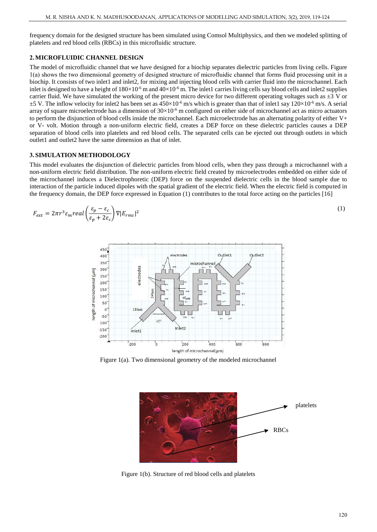frequency domain for the designed structure has been simulated using Comsol Multiphysics, and then we modeled splitting of platelets and red blood cells (RBCs) in this microfluidic structure.

# **2.MICROFLUIDIC CHANNEL DESIGN**

The model of microfluidic channel that we have designed for a biochip separates dielectric particles from living cells. Figure 1(a) shows the two dimensional geometry of designed structure of microfluidic channel that forms fluid processing unit in a biochip. It consists of two inlet1 and inlet2, for mixing and injecting blood cells with carrier fluid into the microchannel. Each inlet is designed to have a height of  $180\times10^{-6}$  m and  $40\times10^{-6}$  m. The inlet1 carries living cells say blood cells and inlet2 supplies carrier fluid. We have simulated the working of the present micro device for two different operating voltages such as  $\pm 3$  V or  $\pm$ 5 V. The inflow velocity for inlet2 has been set as  $450\times10^{-6}$  m/s which is greater than that of inlet1 say  $120\times10^{-6}$  m/s. A serial array of square microelectrode has a dimension of  $30\times10^{-6}$  m configured on either side of microchannel act as micro actuators to perform the disjunction of blood cells inside the microchannel. Each microelectrode has an alternating polarity of either V+ or V- volt. Motion through a non-uniform electric field, creates a DEP force on these dielectric particles causes a DEP separation of blood cells into platelets and red blood cells. The separated cells can be ejected out through outlets in which outlet1 and outlet2 have the same dimension as that of inlet.

## **3. SIMULATION METHODOLOGY**

This model evaluates the disjunction of dielectric particles from blood cells, when they pass through a microchannel with a non-uniform electric field distribution. The non-uniform electric field created by microelectrodes embedded on either side of the microchannel induces a Dielectrophoretic (DEP) force on the suspended dielectric cells in the blood sample due to interaction of the particle induced dipoles with the spatial gradient of the electric field. When the electric field is computed in the frequency domain, the DEP force expressed in Equation (1) contributes to the total force acting on the particles [16]

$$
F_{ext} = 2\pi r^3 \varepsilon_m real \left(\frac{\varepsilon_p - \varepsilon_c}{\varepsilon_p + 2\varepsilon_c}\right) \nabla |E_{rms}|^2
$$
\n(1)



Figure 1(a). Two dimensional geometry of the modeled microchannel



Figure 1(b). Structure of red blood cells and platelets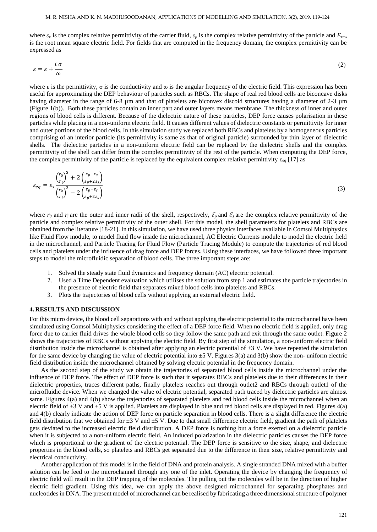where  $\varepsilon_c$  is the complex relative permittivity of the carrier fluid,  $\varepsilon_p$  is the complex relative permittivity of the particle and  $E_{rms}$ is the root mean square electric field. For fields that are computed in the frequency domain, the complex permittivity can be expressed as

$$
\varepsilon = \varepsilon + \frac{i\,\sigma}{\omega} \tag{2}
$$

where  $\varepsilon$  is the permittivity,  $\sigma$  is the conductivity and  $\omega$  is the angular frequency of the electric field. This expression has been useful for approximating the DEP behaviour of particles such as RBCs. The shape of real red blood cells are biconcave disks having diameter in the range of 6-8 µm and that of platelets are biconvex discoid structures having a diameter of 2-3 µm (Figure 1(b)). Both these particles contain an inner part and outer layers means membrane. The thickness of inner and outer regions of blood cells is different. Because of the dielectric nature of these particles, DEP force causes polarisation in these particles while placing in a non-uniform electric field. It causes different values of dielectric constants or permittivity for inner and outer portions of the blood cells. In this simulation study we replaced both RBCs and platelets by a homogeneous particles comprising of an interior particle (its permittivity is same as that of original particle) surrounded by thin layer of dielectric shells. The dielectric particles in a non-uniform electric field can be replaced by the dielectric shells and the complex permittivity of the shell can differ from the complex permittivity of the rest of the particle. When computing the DEP force, the complex permittivity of the particle is replaced by the equivalent complex relative permittivity  $\varepsilon_{eq}$  [17] as

$$
\varepsilon_{eq} = \varepsilon_s \frac{\left(\frac{r_0}{r_i}\right)^3 + 2\left(\frac{\varepsilon_p - \varepsilon_s}{\varepsilon_p + 2\varepsilon_s}\right)}{\left(\frac{r_0}{r_i}\right)^3 - 2\left(\frac{\varepsilon_p - \varepsilon_s}{\varepsilon_p + 2\varepsilon_s}\right)}
$$
(3)

where  $r_0$  and  $r_i$  are the outer and inner radii of the shell, respectively,  $\mathcal{E}_p$  and  $\mathcal{E}_s$  are the complex relative permittivity of the particle and complex relative permittivity of the outer shell. For this model, the shell parameters for platelets and RBCs are obtained from the literature [18-21]. In this simulation, we have used three physics interfaces available in Comsol Multiphysics like Fluid Flow module, to model fluid flow inside the microchannel, AC Electric Currents module to model the electric field in the microchannel, and Particle Tracing for Fluid Flow (Particle Tracing Module) to compute the trajectories of red blood cells and platelets under the influence of drag force and DEP forces. Using these interfaces, we have followed three important steps to model the microfluidic separation of blood cells. The three important steps are:

- 1. Solved the steady state fluid dynamics and frequency domain (AC) electric potential.
- 2. Used a Time Dependent evaluation which utilises the solution from step 1 and estimates the particle trajectories in the presence of electric field that separates mixed blood cells into platelets and RBCs.
- 3. Plots the trajectories of blood cells without applying an external electric field.

#### **4. RESULTS AND DISCUSSION**

For this micro device, the blood cell separations with and without applying the electric potential to the microchannel have been simulated using Comsol Multiphysics considering the effect of a DEP force field. When no electric field is applied, only drag force due to carrier fluid drives the whole blood cells so they follow the same path and exit through the same outlet. Figure 2 shows the trajectories of RBCs without applying the electric field. By first step of the simulation, a non-uniform electric field distribution inside the microchannel is obtained after applying an electric potential of  $\pm 3$  V. We have repeated the simulation for the same device by changing the value of electric potential into  $\pm 5$  V. Figures 3(a) and 3(b) show the non- uniform electric field distribution inside the microchannel obtained by solving electric potential in the frequency domain.

As the second step of the study we obtain the trajectories of separated blood cells inside the microchannel under the influence of DEP force. The effect of DEP force is such that it separates RBCs and platelets due to their differences in their dielectric properties, traces different paths, finally platelets reaches out through outlet2 and RBCs through outlet1 of the microfluidic device. When we changed the value of electric potential, separated path traced by dielectric particles are almost same. Figures 4(a) and 4(b) show the trajectories of separated platelets and red blood cells inside the microchannel when an electric field of  $\pm 3$  V and  $\pm 5$  V is applied. Platelets are displayed in blue and red blood cells are displayed in red. Figures 4(a) and 4(b) clearly indicate the action of DEP force on particle separation in blood cells. There is a slight difference the electric field distribution that we obtained for  $\pm 3$  V and  $\pm 5$  V. Due to that small difference electric field, gradient the path of platelets gets deviated to the increased electric field distribution. A DEP force is nothing but a force exerted on a dielectric particle when it is subjected to a non-uniform electric field. An induced polarization in the dielectric particles causes the DEP force which is proportional to the gradient of the electric potential. The DEP force is sensitive to the size, shape, and dielectric properties in the blood cells, so platelets and RBCs get separated due to the difference in their size, relative permittivity and electrical conductivity.

Another application of this model is in the field of DNA and protein analysis. A single stranded DNA mixed with a buffer solution can be feed to the microchannel through any one of the inlet. Operating the device by changing the frequency of electric field will result in the DEP trapping of the molecules. The pulling out the molecules will be in the direction of higher electric field gradient. Using this idea, we can apply the above designed microchannel for separating phosphates and nucleotides in DNA. The present model of microchannel can be realised by fabricating a three dimensional structure of polymer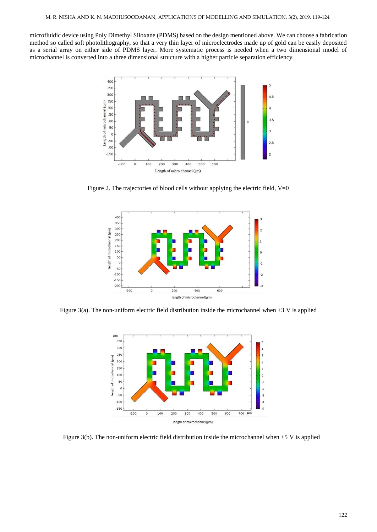microfluidic device using Poly Dimethyl Siloxane (PDMS) based on the design mentioned above. We can choose a fabrication method so called soft photolithography, so that a very thin layer of microelectrodes made up of gold can be easily deposited as a serial array on either side of PDMS layer. More systematic process is needed when a two dimensional model of microchannel is converted into a three dimensional structure with a higher particle separation efficiency.



Figure 2. The trajectories of blood cells without applying the electric field, V=0



Figure 3(a). The non-uniform electric field distribution inside the microchannel when  $\pm 3$  V is applied



Figure 3(b). The non-uniform electric field distribution inside the microchannel when  $\pm$ 5 V is applied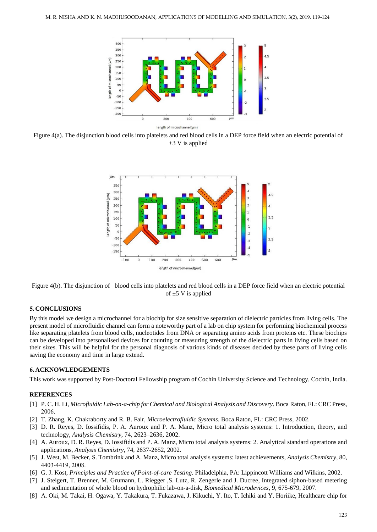

Figure 4(a). The disjunction blood cells into platelets and red blood cells in a DEP force field when an electric potential of  $\pm$ 3 V is applied





# **5. CONCLUSIONS**

By this model we design a microchannel for a biochip for size sensitive separation of dielectric particles from living cells. The present model of microfluidic channel can form a noteworthy part of a lab on chip system for performing biochemical process like separating platelets from blood cells, nucleotides from DNA or separating amino acids from proteins etc. These biochips can be developed into personalised devices for counting or measuring strength of the dielectric parts in living cells based on their sizes. This will be helpful for the personal diagnosis of various kinds of diseases decided by these parts of living cells saving the economy and time in large extend.

## **6. ACKNOWLEDGEMENTS**

This work was supported by Post-Doctoral Fellowship program of Cochin University Science and Technology, Cochin, India.

### **REFERENCES**

- [1] P. C. H. Li, *Microfluidic Lab-on-a-chip for Chemical and Biological Analysis and Discovery.* Boca Raton, FL: CRC Press, 2006.
- [2] T. Zhang, K. Chakraborty and R. B. Fair, *Microelectrofluidic Systems*. Boca Raton, FL: CRC Press, 2002.
- [3] D. R. Reyes, D. Iossifidis, P. A. Auroux and P. A. Manz, Micro total analysis systems: 1. Introduction, theory, and technology, *Analysis Chemistry*, 74, 2623–2636, 2002.
- [4] A. Auroux, D. R. Reyes, D. Iossifidis and P. A. Manz, Micro total analysis systems: 2. Analytical standard operations and applications, *Analysis Chemistry*, 74, 2637-2652, 2002.
- [5] J. West, M. Becker, S. Tombrink and A. Manz, Micro total analysis systems: latest achievements, *Analysis Chemistry*, 80, 4403-4419, 2008.
- [6] G. J. Kost, *Principles and Practice of Point-of-care Testing.* Philadelphia, PA: Lippincott Williams and Wilkins, 2002.
- [7] J. Steigert, T. Brenner, M. Grumann, L. Riegger ,S. Lutz, R. Zengerle and J. Ducree, Integrated siphon-based metering and sedimentation of whole blood on hydrophilic lab-on-a-disk, *Biomedical Microdevices*, 9, 675-679, 2007.
- [8] A. Oki, M. Takai, H. Ogawa, Y. Takakura, T. Fukazawa, J. Kikuchi, Y. Ito, T. Ichiki and Y. Horiike, Healthcare chip for